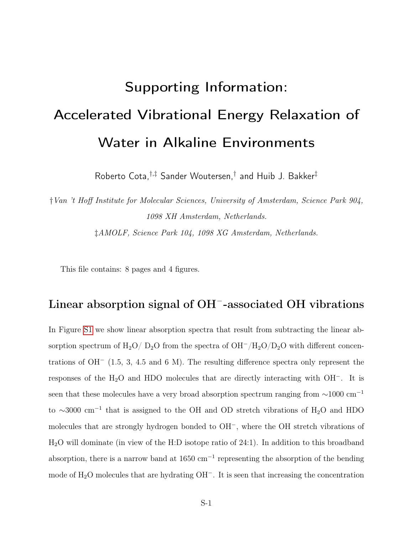# Supporting Information: Accelerated Vibrational Energy Relaxation of Water in Alkaline Environments

Roberto Cota,†,‡ Sander Woutersen,† and Huib J. Bakker‡

†Van 't Hoff Institute for Molecular Sciences, University of Amsterdam, Science Park 904, 1098 XH Amsterdam, Netherlands. ‡AMOLF, Science Park 104, 1098 XG Amsterdam, Netherlands.

This file contains: 8 pages and 4 figures.

### Linear absorption signal of OH<sup>-</sup>-associated OH vibrations

In Figure [S1](#page-1-0) we show linear absorption spectra that result from subtracting the linear absorption spectrum of  $H_2O/D_2O$  from the spectra of  $OH^-/H_2O/D_2O$  with different concentrations of OH<sup>−</sup> (1.5, 3, 4.5 and 6 M). The resulting difference spectra only represent the responses of the H2O and HDO molecules that are directly interacting with OH<sup>−</sup>. It is seen that these molecules have a very broad absorption spectrum ranging from  $\sim$ 1000 cm<sup>-1</sup> to ∼3000 cm<sup>−</sup><sup>1</sup> that is assigned to the OH and OD stretch vibrations of H2O and HDO molecules that are strongly hydrogen bonded to OH<sup>−</sup>, where the OH stretch vibrations of H2O will dominate (in view of the H:D isotope ratio of 24:1). In addition to this broadband absorption, there is a narrow band at  $1650 \text{ cm}^{-1}$  representing the absorption of the bending mode of H2O molecules that are hydrating OH<sup>−</sup>. It is seen that increasing the concentration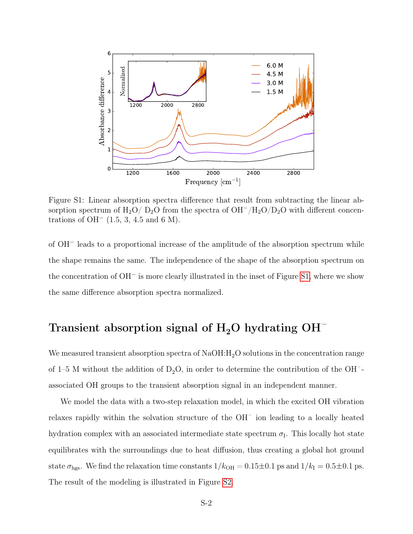<span id="page-1-0"></span>

Figure S1: Linear absorption spectra difference that result from subtracting the linear absorption spectrum of H<sub>2</sub>O/ D<sub>2</sub>O from the spectra of OH<sup>-</sup>/H<sub>2</sub>O/D<sub>2</sub>O with different concentrations of OH<sup> $-$ </sup> (1.5, 3, 4.5 and 6 M).

of OH<sup>−</sup> leads to a proportional increase of the amplitude of the absorption spectrum while the shape remains the same. The independence of the shape of the absorption spectrum on the concentration of OH<sup>−</sup> is more clearly illustrated in the inset of Figure [S1,](#page-1-0) where we show the same difference absorption spectra normalized.

#### Transient absorption signal of  $H_2O$  hydrating  $OH^-$

We measured transient absorption spectra of  $NaOH:H_2O$  solutions in the concentration range of 1–5 M without the addition of  $D_2O$ , in order to determine the contribution of the OH<sup>-</sup>associated OH groups to the transient absorption signal in an independent manner.

We model the data with a two-step relaxation model, in which the excited OH vibration relaxes rapidly within the solvation structure of the OH– ion leading to a locally heated hydration complex with an associated intermediate state spectrum  $\sigma_{I}$ . This locally hot state equilibrates with the surroundings due to heat diffusion, thus creating a global hot ground state  $\sigma_{\text{hgs}}$ . We find the relaxation time constants  $1/k_{\text{OH}} = 0.15 \pm 0.1$  ps and  $1/k_{\text{I}} = 0.5 \pm 0.1$  ps. The result of the modeling is illustrated in Figure [S2.](#page-2-0)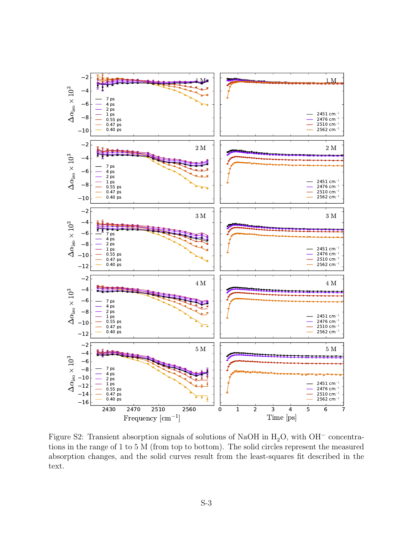<span id="page-2-0"></span>

Figure S2: Transient absorption signals of solutions of NaOH in  $H_2O$ , with OH<sup>-</sup> concentrations in the range of 1 to 5 M (from top to bottom). The solid circles represent the measured absorption changes, and the solid curves result from the least-squares fit described in the text.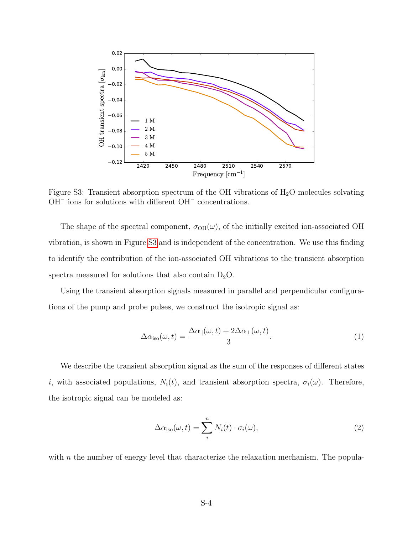<span id="page-3-0"></span>

Figure S3: Transient absorption spectrum of the OH vibrations of  $H_2O$  molecules solvating  $\rm OH^-$  ions for solutions with different  $\rm OH^-$  concentrations.

The shape of the spectral component,  $\sigma_{OH}(\omega)$ , of the initially excited ion-associated OH vibration, is shown in Figure [S3](#page-3-0) and is independent of the concentration. We use this finding to identify the contribution of the ion-associated OH vibrations to the transient absorption spectra measured for solutions that also contain  $D_2O$ .

Using the transient absorption signals measured in parallel and perpendicular configurations of the pump and probe pulses, we construct the isotropic signal as:

$$
\Delta \alpha_{\text{iso}}(\omega, t) = \frac{\Delta \alpha_{\parallel}(\omega, t) + 2\Delta \alpha_{\perp}(\omega, t)}{3}.
$$
\n(1)

We describe the transient absorption signal as the sum of the responses of different states i, with associated populations,  $N_i(t)$ , and transient absorption spectra,  $\sigma_i(\omega)$ . Therefore, the isotropic signal can be modeled as:

$$
\Delta \alpha_{\rm iso}(\omega, t) = \sum_{i}^{n} N_i(t) \cdot \sigma_i(\omega), \qquad (2)
$$

with  $n$  the number of energy level that characterize the relaxation mechanism. The popula-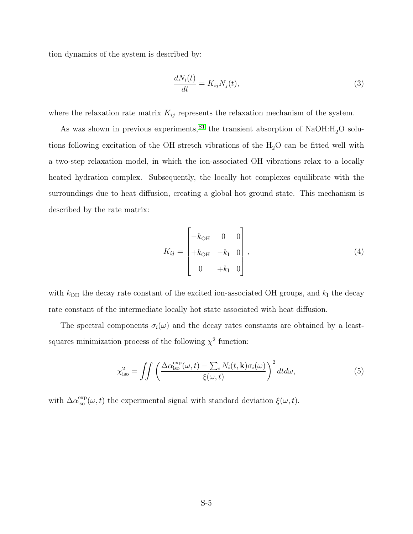tion dynamics of the system is described by:

$$
\frac{dN_i(t)}{dt} = K_{ij}N_j(t),\tag{3}
$$

where the relaxation rate matrix  $K_{ij}$  represents the relaxation mechanism of the system.

As was shown in previous experiments, <sup>[S1](#page-7-0)</sup> the transient absorption of NaOH: $H_2O$  solutions following excitation of the OH stretch vibrations of the  $H_2O$  can be fitted well with a two-step relaxation model, in which the ion-associated OH vibrations relax to a locally heated hydration complex. Subsequently, the locally hot complexes equilibrate with the surroundings due to heat diffusion, creating a global hot ground state. This mechanism is described by the rate matrix:

$$
K_{ij} = \begin{bmatrix} -k_{\text{OH}} & 0 & 0 \\ +k_{\text{OH}} & -k_{\text{I}} & 0 \\ 0 & +k_{\text{I}} & 0 \end{bmatrix},
$$
\n(4)

with  $k_{\text{OH}}$  the decay rate constant of the excited ion-associated OH groups, and  $k_{\text{I}}$  the decay rate constant of the intermediate locally hot state associated with heat diffusion.

The spectral components  $\sigma_i(\omega)$  and the decay rates constants are obtained by a leastsquares minimization process of the following  $\chi^2$  function:

$$
\chi_{\rm iso}^2 = \iint \left( \frac{\Delta \alpha_{\rm iso}^{\rm exp}(\omega, t) - \sum_i N_i(t, \mathbf{k}) \sigma_i(\omega)}{\xi(\omega, t)} \right)^2 dt d\omega, \tag{5}
$$

with  $\Delta \alpha_{\rm iso}^{\rm exp}(\omega, t)$  the experimental signal with standard deviation  $\xi(\omega, t)$ .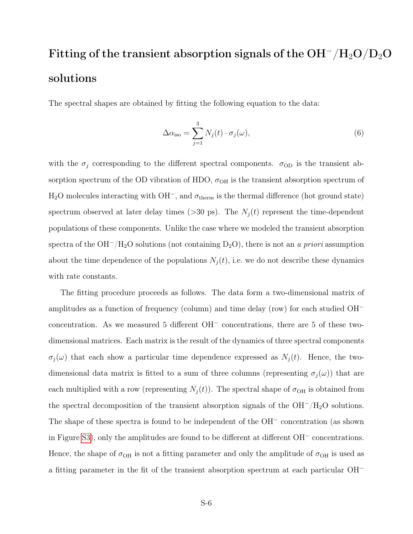### Fitting of the transient absorption signals of the  $OH^-/H_2O/D_2O$ solutions

The spectral shapes are obtained by fitting the following equation to the data:

$$
\Delta \alpha_{\text{iso}} = \sum_{j=1}^{3} N_j(t) \cdot \sigma_j(\omega), \qquad (6)
$$

with the  $\sigma_j$  corresponding to the different spectral components.  $\sigma_{\text{OD}}$  is the transient absorption spectrum of the OD vibration of HDO,  $\sigma_{\text{OH}}$  is the transient absorption spectrum of H<sub>2</sub>O molecules interacting with OH<sup>-</sup>, and  $\sigma_{\text{therm}}$  is the thermal difference (hot ground state) spectrum observed at later delay times (>30 ps). The  $N_j(t)$  represent the time-dependent populations of these components. Unlike the case where we modeled the transient absorption spectra of the  $OH^-/H_2O$  solutions (not containing D<sub>2</sub>O), there is not an a priori assumption about the time dependence of the populations  $N_i(t)$ , i.e. we do not describe these dynamics with rate constants.

The fitting procedure proceeds as follows. The data form a two-dimensional matrix of amplitudes as a function of frequency (column) and time delay (row) for each studied OH<sup>−</sup> concentration. As we measured 5 different OH<sup>−</sup> concentrations, there are 5 of these twodimensional matrices. Each matrix is the result of the dynamics of three spectral components  $\sigma_j(\omega)$  that each show a particular time dependence expressed as  $N_j(t)$ . Hence, the twodimensional data matrix is fitted to a sum of three columns (representing  $\sigma_j(\omega)$ ) that are each multiplied with a row (representing  $N_j(t)$ ). The spectral shape of  $\sigma_{\text{OH}}$  is obtained from the spectral decomposition of the transient absorption signals of the  $OH^-/H_2O$  solutions. The shape of these spectra is found to be independent of the OH<sup>−</sup> concentration (as shown in Figure [S3\)](#page-3-0), only the amplitudes are found to be different at different OH<sup>−</sup> concentrations. Hence, the shape of  $\sigma_{OH}$  is not a fitting parameter and only the amplitude of  $\sigma_{OH}$  is used as a fitting parameter in the fit of the transient absorption spectrum at each particular OH<sup>−</sup>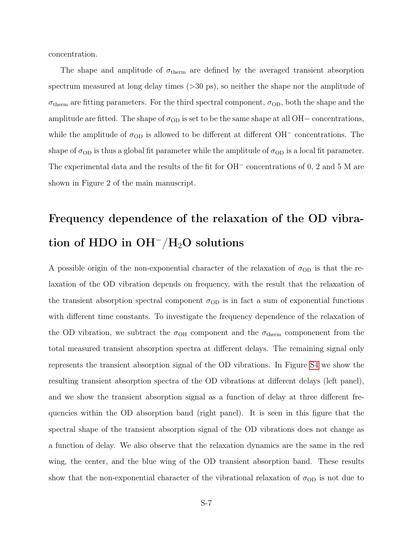concentration.

The shape and amplitude of  $\sigma_{\text{therm}}$  are defined by the averaged transient absorption spectrum measured at long delay times (>30 ps), so neither the shape nor the amplitude of  $\sigma_{\text{therm}}$  are fitting parameters. For the third spectral component,  $\sigma_{\text{OD}}$ , both the shape and the amplitude are fitted. The shape of  $\sigma_{OD}$  is set to be the same shape at all OH– concentrations, while the amplitude of  $\sigma_{OD}$  is allowed to be different at different OH<sup>-</sup> concentrations. The shape of  $\sigma_{OD}$  is thus a global fit parameter while the amplitude of  $\sigma_{OD}$  is a local fit parameter. The experimental data and the results of the fit for OH<sup>−</sup> concentrations of 0, 2 and 5 M are shown in Figure 2 of the main manuscript.

## Frequency dependence of the relaxation of the OD vibration of HDO in  $OH^-/H_2O$  solutions

A possible origin of the non-exponential character of the relaxation of  $\sigma_{OD}$  is that the relaxation of the OD vibration depends on frequency, with the result that the relaxation of the transient absorption spectral component  $\sigma_{OD}$  is in fact a sum of exponential functions with different time constants. To investigate the frequency dependence of the relaxation of the OD vibration, we subtract the  $\sigma_{\text{OH}}$  component and the  $\sigma_{\text{therm}}$  componenent from the total measured transient absorption spectra at different delays. The remaining signal only represents the transient absorption signal of the OD vibrations. In Figure [S4](#page-7-1) we show the resulting transient absorption spectra of the OD vibrations at different delays (left panel), and we show the transient absorption signal as a function of delay at three different frequencies within the OD absorption band (right panel). It is seen in this figure that the spectral shape of the transient absorption signal of the OD vibrations does not change as a function of delay. We also observe that the relaxation dynamics are the same in the red wing, the center, and the blue wing of the OD transient absorption band. These results show that the non-exponential character of the vibrational relaxation of  $\sigma_{OD}$  is not due to